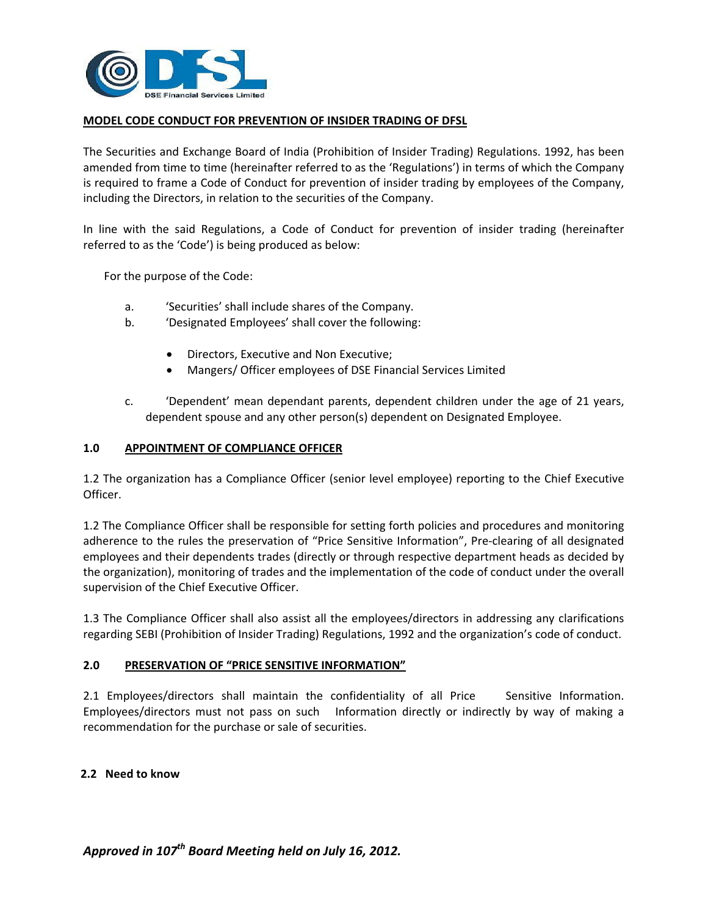

### **MODEL CODE CONDUCT FOR PREVENTION OF INSIDER TRADING OF DFSL**

The Securities and Exchange Board of India (Prohibition of Insider Trading) Regulations. 1992, has been amended from time to time (hereinafter referred to as the 'Regulations') in terms of which the Company is required to frame a Code of Conduct for prevention of insider trading by employees of the Company, including the Directors, in relation to the securities of the Company.

In line with the said Regulations, a Code of Conduct for prevention of insider trading (hereinafter referred to as the 'Code') is being produced as below:

For the purpose of the Code:

- a. 'Securities' shall include shares of the Company.
- b. 'Designated Employees' shall cover the following:
	- Directors, Executive and Non Executive;
	- Mangers/ Officer employees of DSE Financial Services Limited
- c. 'Dependent' mean dependant parents, dependent children under the age of 21 years, dependent spouse and any other person(s) dependent on Designated Employee.

#### **1.0 APPOINTMENT OF COMPLIANCE OFFICER**

1.2 The organization has a Compliance Officer (senior level employee) reporting to the Chief Executive Officer.

1.2 The Compliance Officer shall be responsible for setting forth policies and procedures and monitoring adherence to the rules the preservation of "Price Sensitive Information", Pre‐clearing of all designated employees and their dependents trades (directly or through respective department heads as decided by the organization), monitoring of trades and the implementation of the code of conduct under the overall supervision of the Chief Executive Officer.

1.3 The Compliance Officer shall also assist all the employees/directors in addressing any clarifications regarding SEBI (Prohibition of Insider Trading) Regulations, 1992 and the organization's code of conduct.

### **2.0 PRESERVATION OF "PRICE SENSITIVE INFORMATION"**

2.1 Employees/directors shall maintain the confidentiality of all Price Sensitive Information. Employees/directors must not pass on such Information directly or indirectly by way of making a recommendation for the purchase or sale of securities.

### **2.2 Need to know**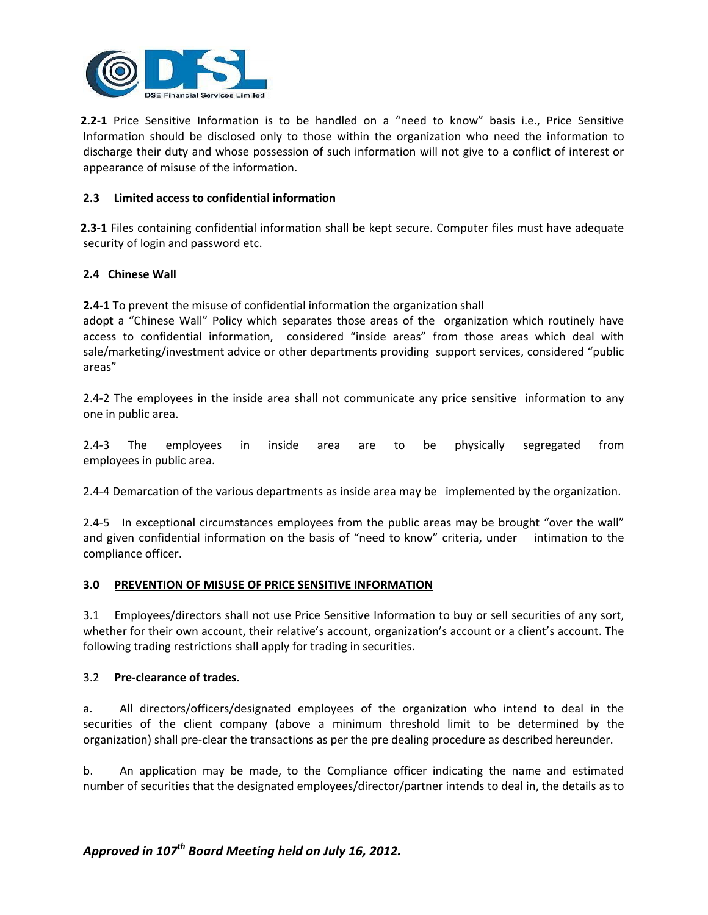

**2.2‐1** Price Sensitive Information is to be handled on a "need to know" basis i.e., Price Sensitive Information should be disclosed only to those within the organization who need the information to discharge their duty and whose possession of such information will not give to a conflict of interest or appearance of misuse of the information.

### **2.3 Limited access to confidential information**

**2.3‐1** Files containing confidential information shall be kept secure. Computer files must have adequate security of login and password etc.

# **2.4 Chinese Wall**

**2.4‐1** To prevent the misuse of confidential information the organization shall

adopt a "Chinese Wall" Policy which separates those areas of the organization which routinely have access to confidential information, considered "inside areas" from those areas which deal with sale/marketing/investment advice or other departments providing support services, considered "public areas"

2.4-2 The employees in the inside area shall not communicate any price sensitive information to any one in public area.

2.4‐3 The employees in inside area are to be physically segregated from employees in public area.

2.4‐4 Demarcation of the various departments as inside area may be implemented by the organization.

2.4-5 In exceptional circumstances employees from the public areas may be brought "over the wall" and given confidential information on the basis of "need to know" criteria, under intimation to the compliance officer.

### **3.0 PREVENTION OF MISUSE OF PRICE SENSITIVE INFORMATION**

3.1 Employees/directors shall not use Price Sensitive Information to buy or sell securities of any sort, whether for their own account, their relative's account, organization's account or a client's account. The following trading restrictions shall apply for trading in securities.

### 3.2 **Pre‐clearance of trades.**

a. All directors/officers/designated employees of the organization who intend to deal in the securities of the client company (above a minimum threshold limit to be determined by the organization) shall pre‐clear the transactions as per the pre dealing procedure as described hereunder.

b. An application may be made, to the Compliance officer indicating the name and estimated number of securities that the designated employees/director/partner intends to deal in, the details as to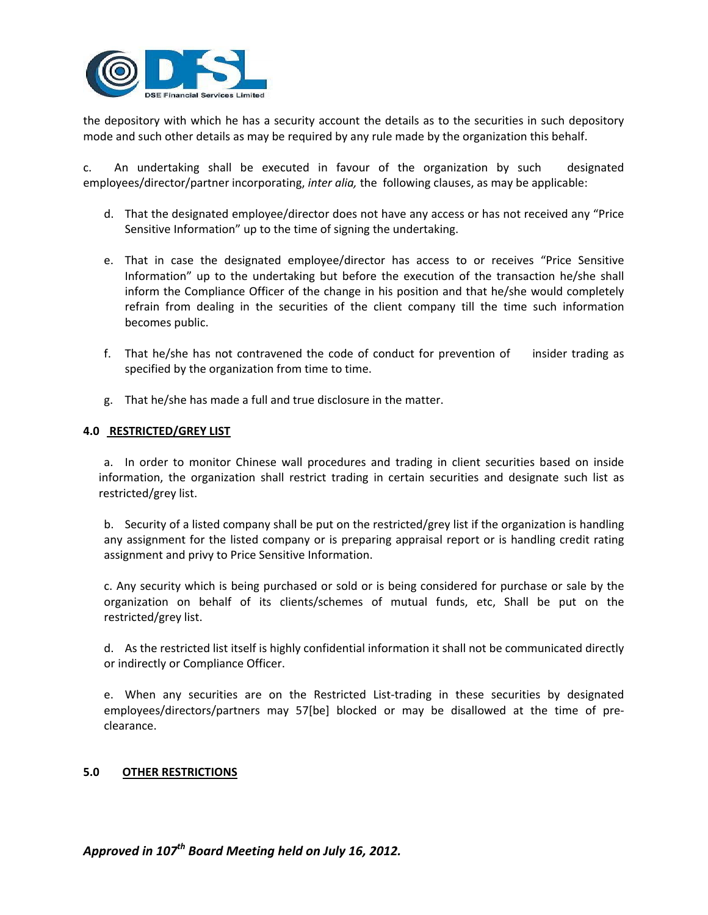

the depository with which he has a security account the details as to the securities in such depository mode and such other details as may be required by any rule made by the organization this behalf.

c. An undertaking shall be executed in favour of the organization by such designated employees/director/partner incorporating, *inter alia,* the following clauses, as may be applicable:

- d. That the designated employee/director does not have any access or has not received any "Price Sensitive Information" up to the time of signing the undertaking.
- e. That in case the designated employee/director has access to or receives "Price Sensitive Information" up to the undertaking but before the execution of the transaction he/she shall inform the Compliance Officer of the change in his position and that he/she would completely refrain from dealing in the securities of the client company till the time such information becomes public.
- f. That he/she has not contravened the code of conduct for prevention of insider trading as specified by the organization from time to time.
- g. That he/she has made a full and true disclosure in the matter.

### **4.0 RESTRICTED/GREY LIST**

a. In order to monitor Chinese wall procedures and trading in client securities based on inside information, the organization shall restrict trading in certain securities and designate such list as restricted/grey list.

b. Security of a listed company shall be put on the restricted/grey list if the organization is handling any assignment for the listed company or is preparing appraisal report or is handling credit rating assignment and privy to Price Sensitive Information.

c. Any security which is being purchased or sold or is being considered for purchase or sale by the organization on behalf of its clients/schemes of mutual funds, etc, Shall be put on the restricted/grey list.

d. As the restricted list itself is highly confidential information it shall not be communicated directly or indirectly or Compliance Officer.

e. When any securities are on the Restricted List-trading in these securities by designated employees/directors/partners may 57[be] blocked or may be disallowed at the time of pre‐ clearance.

### **5.0 OTHER RESTRICTIONS**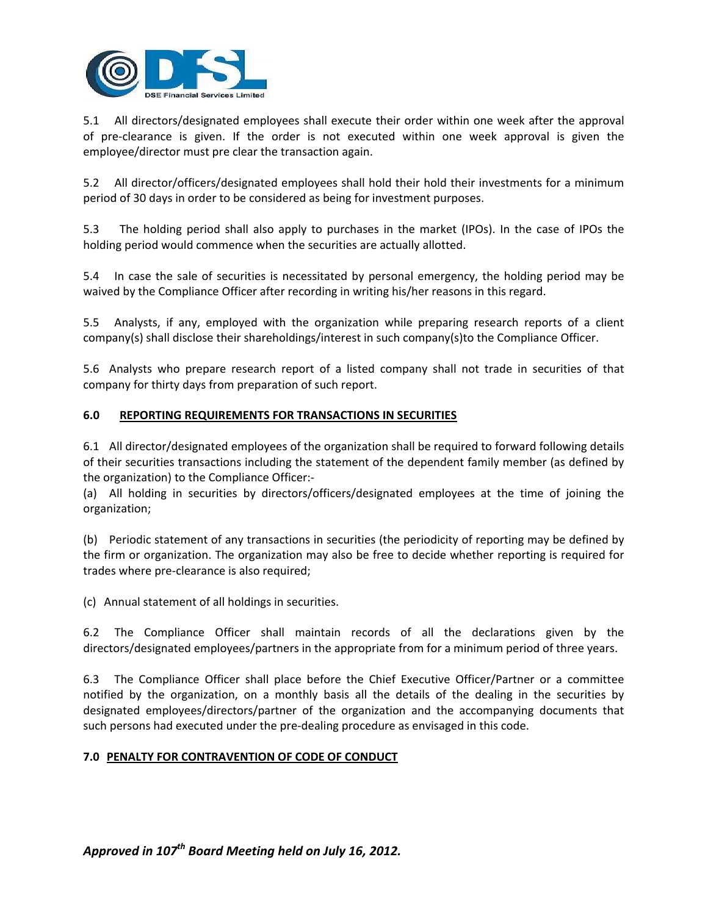

5.1 All directors/designated employees shall execute their order within one week after the approval of pre‐clearance is given. If the order is not executed within one week approval is given the employee/director must pre clear the transaction again.

5.2 All director/officers/designated employees shall hold their hold their investments for a minimum period of 30 days in order to be considered as being for investment purposes.

5.3 The holding period shall also apply to purchases in the market (IPOs). In the case of IPOs the holding period would commence when the securities are actually allotted.

5.4 In case the sale of securities is necessitated by personal emergency, the holding period may be waived by the Compliance Officer after recording in writing his/her reasons in this regard.

5.5 Analysts, if any, employed with the organization while preparing research reports of a client company(s) shall disclose their shareholdings/interest in such company(s)to the Compliance Officer.

5.6 Analysts who prepare research report of a listed company shall not trade in securities of that company for thirty days from preparation of such report.

# **6.0 REPORTING REQUIREMENTS FOR TRANSACTIONS IN SECURITIES**

6.1 All director/designated employees of the organization shall be required to forward following details of their securities transactions including the statement of the dependent family member (as defined by the organization) to the Compliance Officer:‐

(a) All holding in securities by directors/officers/designated employees at the time of joining the organization;

(b) Periodic statement of any transactions in securities (the periodicity of reporting may be defined by the firm or organization. The organization may also be free to decide whether reporting is required for trades where pre‐clearance is also required;

(c) Annual statement of all holdings in securities.

6.2 The Compliance Officer shall maintain records of all the declarations given by the directors/designated employees/partners in the appropriate from for a minimum period of three years.

6.3 The Compliance Officer shall place before the Chief Executive Officer/Partner or a committee notified by the organization, on a monthly basis all the details of the dealing in the securities by designated employees/directors/partner of the organization and the accompanying documents that such persons had executed under the pre‐dealing procedure as envisaged in this code.

### **7.0 PENALTY FOR CONTRAVENTION OF CODE OF CONDUCT**